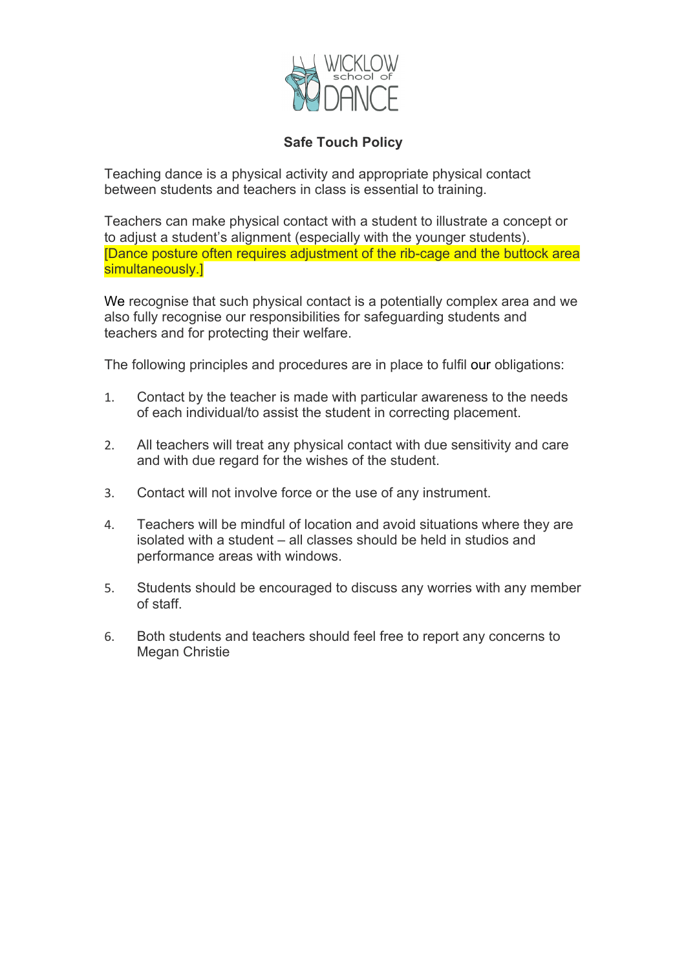

## **Safe Touch Policy**

Teaching dance is a physical activity and appropriate physical contact between students and teachers in class is essential to training.

Teachers can make physical contact with a student to illustrate a concept or to adjust a student's alignment (especially with the younger students). [Dance posture often requires adjustment of the rib-cage and the buttock area simultaneously.]

We recognise that such physical contact is a potentially complex area and we also fully recognise our responsibilities for safeguarding students and teachers and for protecting their welfare.

The following principles and procedures are in place to fulfil our obligations:

- 1. Contact by the teacher is made with particular awareness to the needs of each individual/to assist the student in correcting placement.
- 2. All teachers will treat any physical contact with due sensitivity and care and with due regard for the wishes of the student.
- 3. Contact will not involve force or the use of any instrument.
- 4. Teachers will be mindful of location and avoid situations where they are isolated with a student – all classes should be held in studios and performance areas with windows.
- 5. Students should be encouraged to discuss any worries with any member of staff.
- 6. Both students and teachers should feel free to report any concerns to Megan Christie